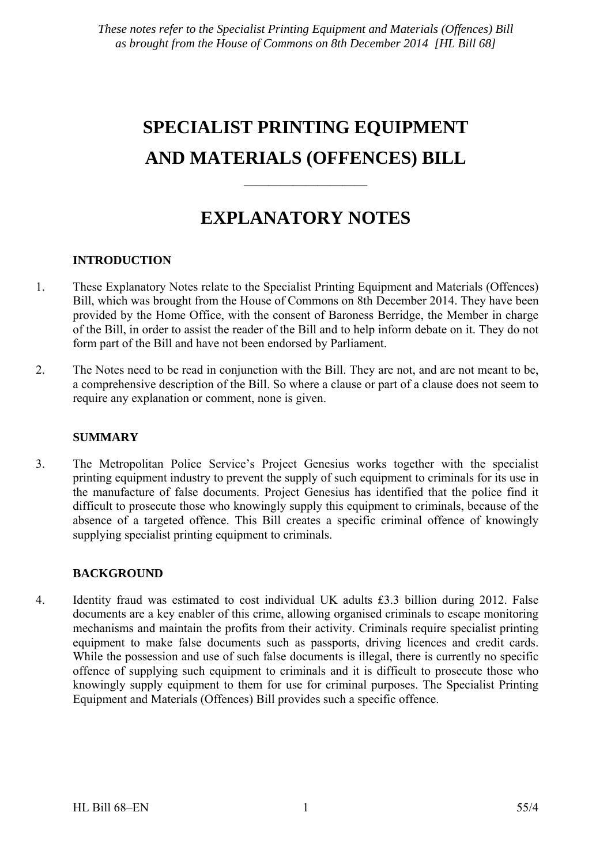# **SPECIALIST PRINTING EQUIPMENT AND MATERIALS (OFFENCES) BILL**

## **EXPLANATORY NOTES**

——————————

### **INTRODUCTION**

- 1. These Explanatory Notes relate to the Specialist Printing Equipment and Materials (Offences) Bill, which was brought from the House of Commons on 8th December 2014. They have been provided by the Home Office, with the consent of Baroness Berridge, the Member in charge of the Bill, in order to assist the reader of the Bill and to help inform debate on it. They do not form part of the Bill and have not been endorsed by Parliament.
- 2. The Notes need to be read in conjunction with the Bill. They are not, and are not meant to be, a comprehensive description of the Bill. So where a clause or part of a clause does not seem to require any explanation or comment, none is given.

### **SUMMARY**

3. The Metropolitan Police Service's Project Genesius works together with the specialist printing equipment industry to prevent the supply of such equipment to criminals for its use in the manufacture of false documents. Project Genesius has identified that the police find it difficult to prosecute those who knowingly supply this equipment to criminals, because of the absence of a targeted offence. This Bill creates a specific criminal offence of knowingly supplying specialist printing equipment to criminals.

### **BACKGROUND**

4. Identity fraud was estimated to cost individual UK adults £3.3 billion during 2012. False documents are a key enabler of this crime, allowing organised criminals to escape monitoring mechanisms and maintain the profits from their activity. Criminals require specialist printing equipment to make false documents such as passports, driving licences and credit cards. While the possession and use of such false documents is illegal, there is currently no specific offence of supplying such equipment to criminals and it is difficult to prosecute those who knowingly supply equipment to them for use for criminal purposes. The Specialist Printing Equipment and Materials (Offences) Bill provides such a specific offence.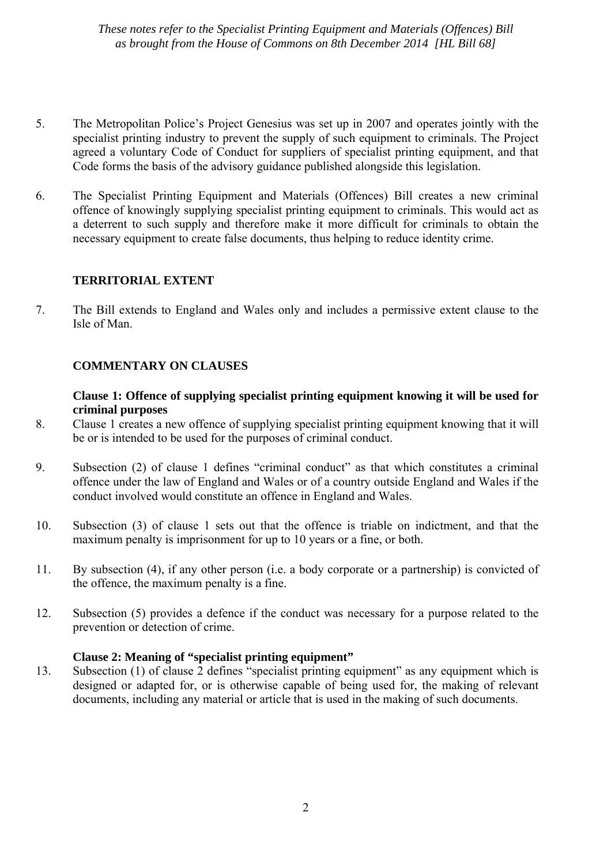*These notes refer to the Specialist Printing Equipment and Materials (Offences) Bill as brought from the House of Commons on 8th December 2014 [HL Bill 68]* 

- 5. The Metropolitan Police's Project Genesius was set up in 2007 and operates jointly with the specialist printing industry to prevent the supply of such equipment to criminals. The Project agreed a voluntary Code of Conduct for suppliers of specialist printing equipment, and that Code forms the basis of the advisory guidance published alongside this legislation.
- 6. The Specialist Printing Equipment and Materials (Offences) Bill creates a new criminal offence of knowingly supplying specialist printing equipment to criminals. This would act as a deterrent to such supply and therefore make it more difficult for criminals to obtain the necessary equipment to create false documents, thus helping to reduce identity crime.

#### **TERRITORIAL EXTENT**

7. The Bill extends to England and Wales only and includes a permissive extent clause to the Isle of Man.

#### **COMMENTARY ON CLAUSES**

#### **Clause 1: Offence of supplying specialist printing equipment knowing it will be used for criminal purposes**

- 8. Clause 1 creates a new offence of supplying specialist printing equipment knowing that it will be or is intended to be used for the purposes of criminal conduct.
- 9. Subsection (2) of clause 1 defines "criminal conduct" as that which constitutes a criminal offence under the law of England and Wales or of a country outside England and Wales if the conduct involved would constitute an offence in England and Wales.
- 10. Subsection (3) of clause 1 sets out that the offence is triable on indictment, and that the maximum penalty is imprisonment for up to 10 years or a fine, or both.
- 11. By subsection (4), if any other person (i.e. a body corporate or a partnership) is convicted of the offence, the maximum penalty is a fine.
- 12. Subsection (5) provides a defence if the conduct was necessary for a purpose related to the prevention or detection of crime.

#### **Clause 2: Meaning of "specialist printing equipment"**

13. Subsection (1) of clause 2 defines "specialist printing equipment" as any equipment which is designed or adapted for, or is otherwise capable of being used for, the making of relevant documents, including any material or article that is used in the making of such documents.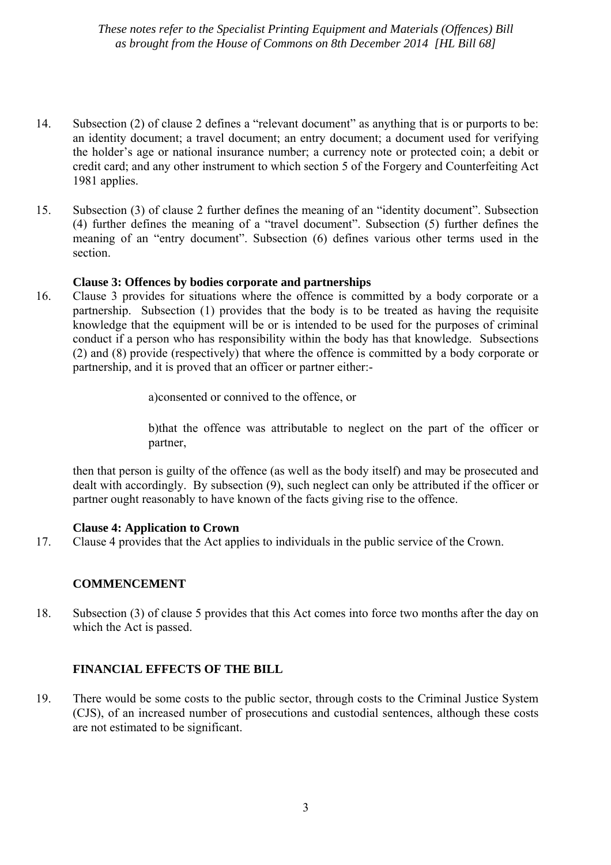*These notes refer to the Specialist Printing Equipment and Materials (Offences) Bill as brought from the House of Commons on 8th December 2014 [HL Bill 68]* 

- 14. Subsection (2) of clause 2 defines a "relevant document" as anything that is or purports to be: an identity document; a travel document; an entry document; a document used for verifying the holder's age or national insurance number; a currency note or protected coin; a debit or credit card; and any other instrument to which section 5 of the Forgery and Counterfeiting Act 1981 applies.
- 15. Subsection (3) of clause 2 further defines the meaning of an "identity document". Subsection (4) further defines the meaning of a "travel document". Subsection (5) further defines the meaning of an "entry document". Subsection (6) defines various other terms used in the section.

#### **Clause 3: Offences by bodies corporate and partnerships**

16. Clause 3 provides for situations where the offence is committed by a body corporate or a partnership. Subsection (1) provides that the body is to be treated as having the requisite knowledge that the equipment will be or is intended to be used for the purposes of criminal conduct if a person who has responsibility within the body has that knowledge. Subsections (2) and (8) provide (respectively) that where the offence is committed by a body corporate or partnership, and it is proved that an officer or partner either:-

a)consented or connived to the offence, or

b)that the offence was attributable to neglect on the part of the officer or partner,

then that person is guilty of the offence (as well as the body itself) and may be prosecuted and dealt with accordingly. By subsection (9), such neglect can only be attributed if the officer or partner ought reasonably to have known of the facts giving rise to the offence.

#### **Clause 4: Application to Crown**

17. Clause 4 provides that the Act applies to individuals in the public service of the Crown.

#### **COMMENCEMENT**

18. Subsection (3) of clause 5 provides that this Act comes into force two months after the day on which the Act is passed.

#### **FINANCIAL EFFECTS OF THE BILL**

19. There would be some costs to the public sector, through costs to the Criminal Justice System (CJS), of an increased number of prosecutions and custodial sentences, although these costs are not estimated to be significant.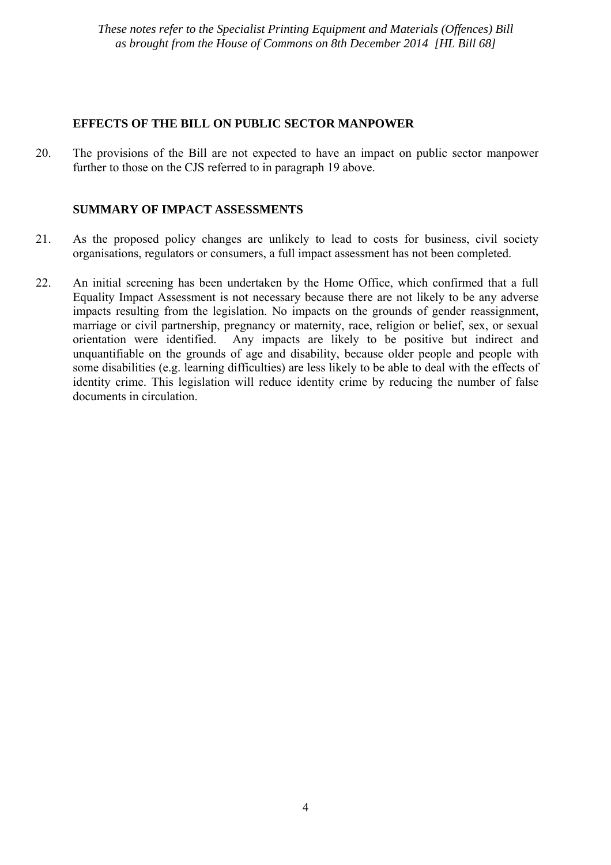#### **EFFECTS OF THE BILL ON PUBLIC SECTOR MANPOWER**

20. The provisions of the Bill are not expected to have an impact on public sector manpower further to those on the CJS referred to in paragraph 19 above.

#### **SUMMARY OF IMPACT ASSESSMENTS**

- 21. As the proposed policy changes are unlikely to lead to costs for business, civil society organisations, regulators or consumers, a full impact assessment has not been completed.
- 22. An initial screening has been undertaken by the Home Office, which confirmed that a full Equality Impact Assessment is not necessary because there are not likely to be any adverse impacts resulting from the legislation. No impacts on the grounds of gender reassignment, marriage or civil partnership, pregnancy or maternity, race, religion or belief, sex, or sexual orientation were identified. Any impacts are likely to be positive but indirect and unquantifiable on the grounds of age and disability, because older people and people with some disabilities (e.g. learning difficulties) are less likely to be able to deal with the effects of identity crime. This legislation will reduce identity crime by reducing the number of false documents in circulation.